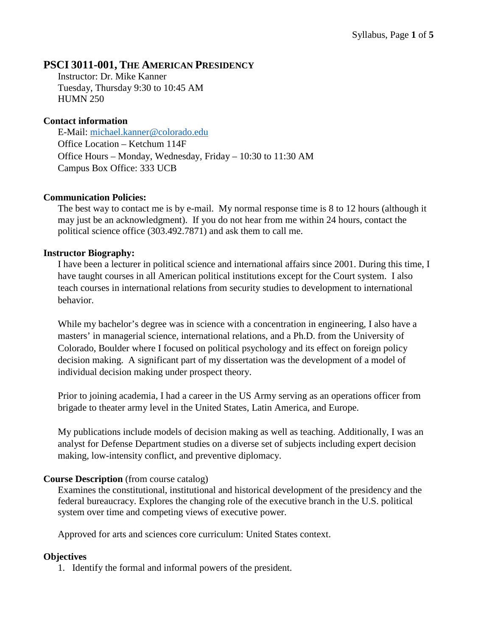### **PSCI 3011-001, THE AMERICAN PRESIDENCY**

Instructor: Dr. Mike Kanner Tuesday, Thursday 9:30 to 10:45 AM HUMN 250

#### **Contact information**

E-Mail: [michael.kanner@colorado.edu](mailto:michael.kanner@colorado.edu) Office Location – Ketchum 114F Office Hours – Monday, Wednesday, Friday – 10:30 to 11:30 AM Campus Box Office: 333 UCB

#### **Communication Policies:**

The best way to contact me is by e-mail. My normal response time is 8 to 12 hours (although it may just be an acknowledgment). If you do not hear from me within 24 hours, contact the political science office (303.492.7871) and ask them to call me.

#### **Instructor Biography:**

I have been a lecturer in political science and international affairs since 2001. During this time, I have taught courses in all American political institutions except for the Court system. I also teach courses in international relations from security studies to development to international behavior.

While my bachelor's degree was in science with a concentration in engineering, I also have a masters' in managerial science, international relations, and a Ph.D. from the University of Colorado, Boulder where I focused on political psychology and its effect on foreign policy decision making. A significant part of my dissertation was the development of a model of individual decision making under prospect theory.

Prior to joining academia, I had a career in the US Army serving as an operations officer from brigade to theater army level in the United States, Latin America, and Europe.

My publications include models of decision making as well as teaching. Additionally, I was an analyst for Defense Department studies on a diverse set of subjects including expert decision making, low-intensity conflict, and preventive diplomacy.

#### **Course Description** (from course catalog)

Examines the constitutional, institutional and historical development of the presidency and the federal bureaucracy. Explores the changing role of the executive branch in the U.S. political system over time and competing views of executive power.

Approved for arts and sciences core curriculum: United States context.

#### **Objectives**

1. Identify the formal and informal powers of the president.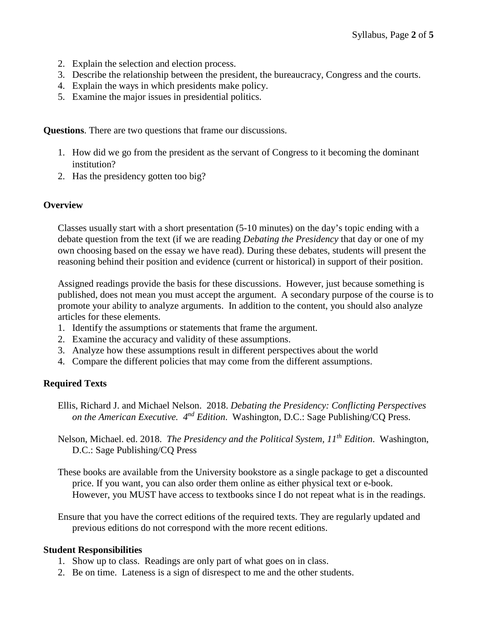- 2. Explain the selection and election process.
- 3. Describe the relationship between the president, the bureaucracy, Congress and the courts.
- 4. Explain the ways in which presidents make policy.
- 5. Examine the major issues in presidential politics.

**Questions**. There are two questions that frame our discussions.

- 1. How did we go from the president as the servant of Congress to it becoming the dominant institution?
- 2. Has the presidency gotten too big?

#### **Overview**

Classes usually start with a short presentation (5-10 minutes) on the day's topic ending with a debate question from the text (if we are reading *Debating the Presidency* that day or one of my own choosing based on the essay we have read). During these debates, students will present the reasoning behind their position and evidence (current or historical) in support of their position.

Assigned readings provide the basis for these discussions. However, just because something is published, does not mean you must accept the argument. A secondary purpose of the course is to promote your ability to analyze arguments. In addition to the content, you should also analyze articles for these elements.

- 1. Identify the assumptions or statements that frame the argument.
- 2. Examine the accuracy and validity of these assumptions.
- 3. Analyze how these assumptions result in different perspectives about the world
- 4. Compare the different policies that may come from the different assumptions.

#### **Required Texts**

- Ellis, Richard J. and Michael Nelson. 2018. *Debating the Presidency: Conflicting Perspectives on the American Executive.* 4<sup>nd</sup> *Edition.* Washington, D.C.: Sage Publishing/CQ Press.
- Nelson, Michael. ed. 2018. *The Presidency and the Political System, 11th Edition*. Washington, D.C.: Sage Publishing/CQ Press
- These books are available from the University bookstore as a single package to get a discounted price. If you want, you can also order them online as either physical text or e-book. However, you MUST have access to textbooks since I do not repeat what is in the readings.

Ensure that you have the correct editions of the required texts. They are regularly updated and previous editions do not correspond with the more recent editions.

#### **Student Responsibilities**

- 1. Show up to class. Readings are only part of what goes on in class.
- 2. Be on time. Lateness is a sign of disrespect to me and the other students.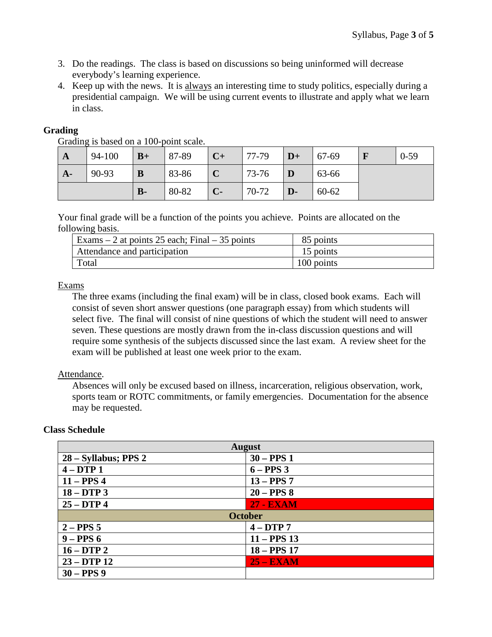- 3. Do the readings. The class is based on discussions so being uninformed will decrease everybody's learning experience.
- 4. Keep up with the news. It is always an interesting time to study politics, especially during a presidential campaign. We will be using current events to illustrate and apply what we learn in class.

#### **Grading**

Grading is based on a 100-point scale.

| $\mathbf{A}$ | 94-100 | $B+$ | $ 87-89\rangle$ | $ C+$  | $ 77-79\rangle$ | $\mathbf{D}+$  | $  67-69$ | $0 - 59$ |
|--------------|--------|------|-----------------|--------|-----------------|----------------|-----------|----------|
| $A-$         | 90-93  | B    | 83-86           | C      | $73-76$         | $\blacksquare$ | 63-66     |          |
|              |        | $B-$ | 80-82           | $ C -$ | 70-72           | D-             | $60-62$   |          |

Your final grade will be a function of the points you achieve. Points are allocated on the following basis.

| Exams $-2$ at points 25 each; Final $-35$ points | 85 points  |
|--------------------------------------------------|------------|
| Attendance and participation                     | 15 points  |
| Total                                            | 100 points |

#### Exams

The three exams (including the final exam) will be in class, closed book exams. Each will consist of seven short answer questions (one paragraph essay) from which students will select five. The final will consist of nine questions of which the student will need to answer seven. These questions are mostly drawn from the in-class discussion questions and will require some synthesis of the subjects discussed since the last exam. A review sheet for the exam will be published at least one week prior to the exam.

#### Attendance.

**Class Schedule**

Absences will only be excused based on illness, incarceration, religious observation, work, sports team or ROTC commitments, or family emergencies. Documentation for the absence may be requested.

| <b>August</b>           |                  |  |
|-------------------------|------------------|--|
| $28 - Syllabus$ ; PPS 2 | $30 - PPS1$      |  |
| $4-DTP1$                | $6 - PPS3$       |  |
| $11 - PPS4$             | $13 - PPS7$      |  |
| $18 - DTP3$             | $20 - PPS8$      |  |
| $25 - DTP$ 4            | <b>27 - EXAM</b> |  |
|                         | <b>October</b>   |  |
| $2 - PPS 5$             | $4-DTP7$         |  |
| $9 - PPS6$              | $11 - PPS$ 13    |  |
| $16 - DTP2$             | $18 - PPS$ 17    |  |
| $23 - DTP 12$           | $25 - EXAM$      |  |
| $30 - PPS9$             |                  |  |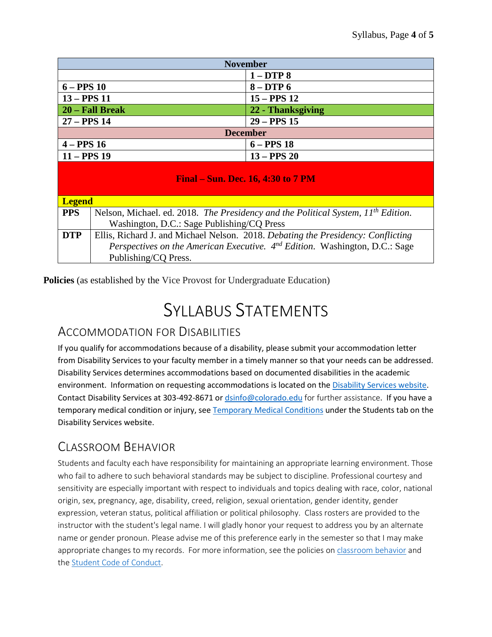| <b>November</b>                           |                                                                                               |  |  |
|-------------------------------------------|-----------------------------------------------------------------------------------------------|--|--|
|                                           | $1 - DTP8$                                                                                    |  |  |
| $6 - PPS10$                               | $8 - DTP6$                                                                                    |  |  |
| $13 - PPS 11$                             | $15 - PPS 12$                                                                                 |  |  |
| 20 – Fall Break                           | 22 - Thanksgiving                                                                             |  |  |
| $27 - PPS$ 14                             | $29 - PPS$ 15                                                                                 |  |  |
| <b>December</b>                           |                                                                                               |  |  |
| $4 - PPS16$<br>$6 - PPS$ 18               |                                                                                               |  |  |
| $11 - PPS$ 19                             | $13 - PPS20$                                                                                  |  |  |
| <b>Final – Sun. Dec. 16, 4:30 to 7 PM</b> |                                                                                               |  |  |
| <b>Legend</b>                             |                                                                                               |  |  |
| <b>PPS</b>                                | Nelson, Michael. ed. 2018. The Presidency and the Political System, 11 <sup>th</sup> Edition. |  |  |

|     | Washington, D.C.: Sage Publishing/CQ Press                                              |
|-----|-----------------------------------------------------------------------------------------|
| DTP | Ellis, Richard J. and Michael Nelson. 2018. Debating the Presidency: Conflicting        |
|     | <i>Perspectives on the American Executive.</i> $4^{nd}$ Edition. Washington, D.C.: Sage |
|     | Publishing/CQ Press.                                                                    |

**Policies** (as established by the Vice Provost for Undergraduate Education)

# SYLLABUS STATEMENTS

### ACCOMMODATION FOR DISABILITIES

If you qualify for accommodations because of a disability, please submit your accommodation letter from Disability Services to your faculty member in a timely manner so that your needs can be addressed. Disability Services determines accommodations based on documented disabilities in the academic environment. Information on requesting accommodations is located on th[e Disability Services website.](http://www.colorado.edu/disabilityservices/students) Contact Disability Services at 303-492-8671 or [dsinfo@colorado.edu](mailto:dsinfo@colorado.edu) for further assistance. If you have a temporary medical condition or injury, see [Temporary Medical Conditions](http://www.colorado.edu/disabilityservices/students/temporary-medical-conditions) under the Students tab on the Disability Services website.

### CLASSROOM BEHAVIOR

Students and faculty each have responsibility for maintaining an appropriate learning environment. Those who fail to adhere to such behavioral standards may be subject to discipline. Professional courtesy and sensitivity are especially important with respect to individuals and topics dealing with race, color, national origin, sex, pregnancy, age, disability, creed, religion, sexual orientation, gender identity, gender expression, veteran status, political affiliation or political philosophy. Class rosters are provided to the instructor with the student's legal name. I will gladly honor your request to address you by an alternate name or gender pronoun. Please advise me of this preference early in the semester so that I may make appropriate changes to my records. For more information, see the policies on [classroom behavior](http://www.colorado.edu/policies/student-classroom-and-course-related-behavior) and the [Student Code of Conduct.](http://www.colorado.edu/osccr/)